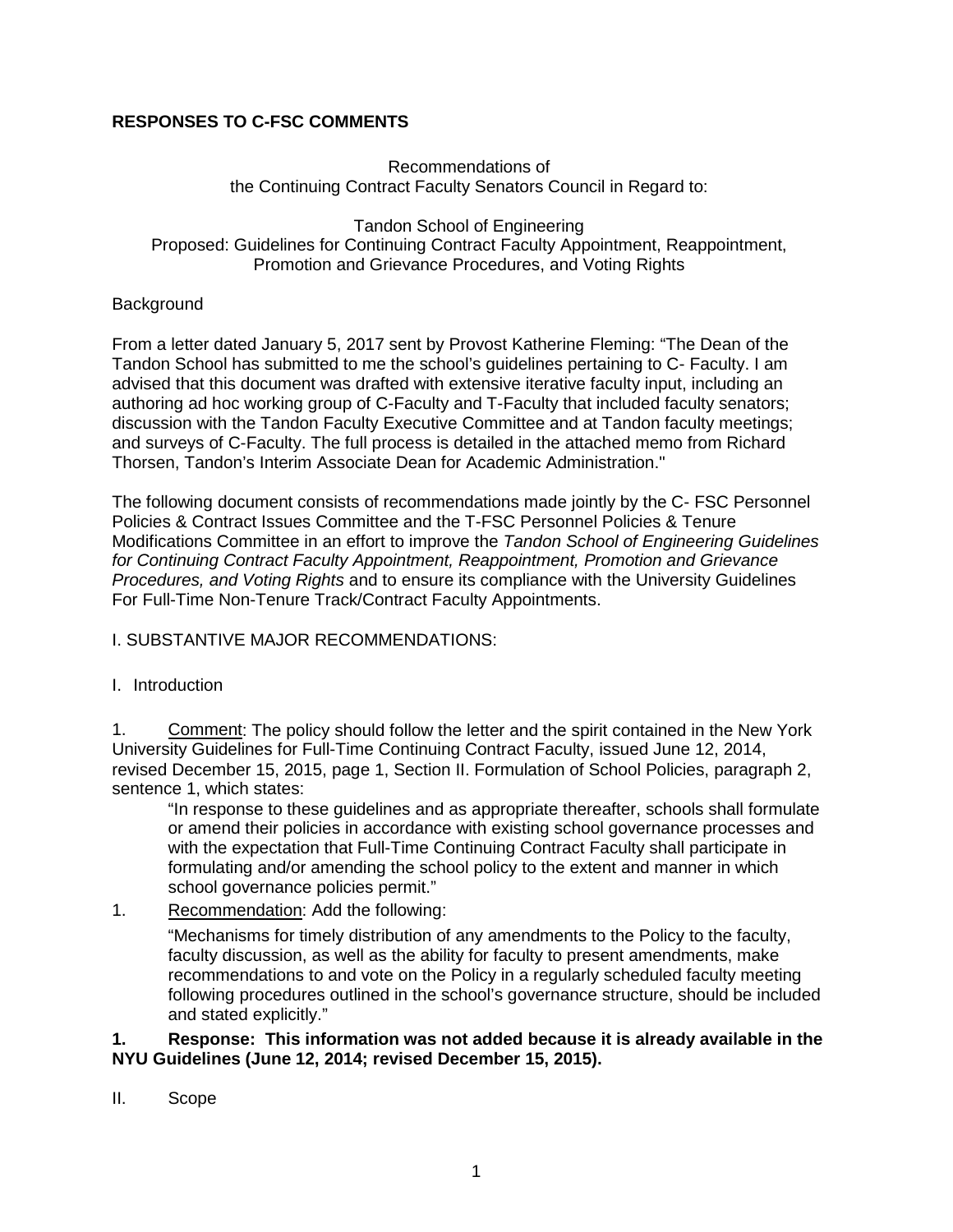# **RESPONSES TO C-FSC COMMENTS**

#### Recommendations of the Continuing Contract Faculty Senators Council in Regard to:

Tandon School of Engineering Proposed: Guidelines for Continuing Contract Faculty Appointment, Reappointment, Promotion and Grievance Procedures, and Voting Rights

#### Background

From a letter dated January 5, 2017 sent by Provost Katherine Fleming: "The Dean of the Tandon School has submitted to me the school's guidelines pertaining to C- Faculty. I am advised that this document was drafted with extensive iterative faculty input, including an authoring ad hoc working group of C-Faculty and T-Faculty that included faculty senators; discussion with the Tandon Faculty Executive Committee and at Tandon faculty meetings; and surveys of C-Faculty. The full process is detailed in the attached memo from Richard Thorsen, Tandon's Interim Associate Dean for Academic Administration."

The following document consists of recommendations made jointly by the C- FSC Personnel Policies & Contract Issues Committee and the T-FSC Personnel Policies & Tenure Modifications Committee in an effort to improve the *Tandon School of Engineering Guidelines for Continuing Contract Faculty Appointment, Reappointment, Promotion and Grievance Procedures, and Voting Rights* and to ensure its compliance with the University Guidelines For Full-Time Non-Tenure Track/Contract Faculty Appointments.

### I. SUBSTANTIVE MAJOR RECOMMENDATIONS:

#### I. Introduction

1. Comment: The policy should follow the letter and the spirit contained in the New York University Guidelines for Full-Time Continuing Contract Faculty, issued June 12, 2014, revised December 15, 2015, page 1, Section II. Formulation of School Policies, paragraph 2, sentence 1, which states:

"In response to these guidelines and as appropriate thereafter, schools shall formulate or amend their policies in accordance with existing school governance processes and with the expectation that Full-Time Continuing Contract Faculty shall participate in formulating and/or amending the school policy to the extent and manner in which school governance policies permit."

1. Recommendation: Add the following:

"Mechanisms for timely distribution of any amendments to the Policy to the faculty, faculty discussion, as well as the ability for faculty to present amendments, make recommendations to and vote on the Policy in a regularly scheduled faculty meeting following procedures outlined in the school's governance structure, should be included and stated explicitly."

#### **1. Response: This information was not added because it is already available in the NYU Guidelines (June 12, 2014; revised December 15, 2015).**

II. Scope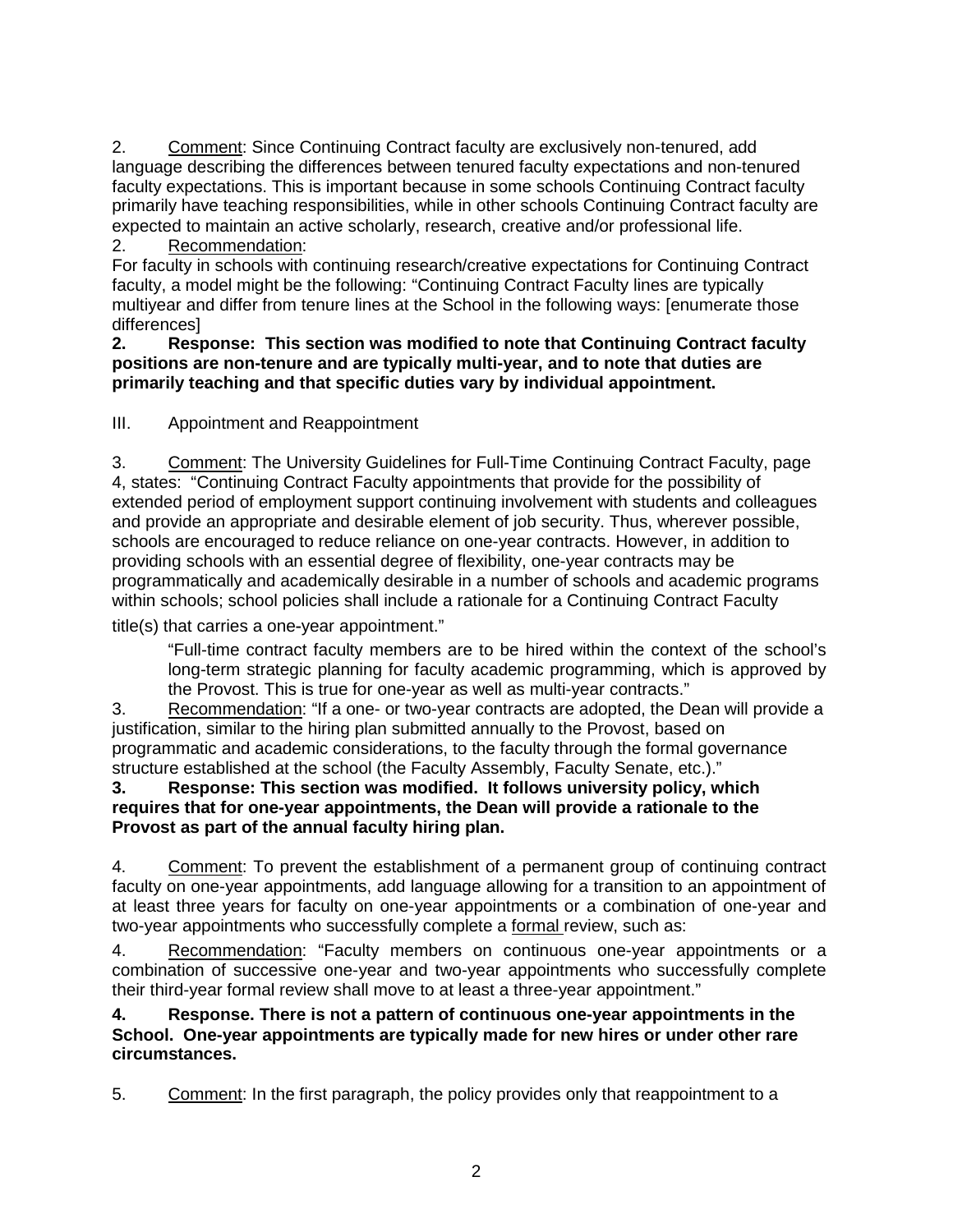2. Comment: Since Continuing Contract faculty are exclusively non-tenured, add language describing the differences between tenured faculty expectations and non-tenured faculty expectations. This is important because in some schools Continuing Contract faculty primarily have teaching responsibilities, while in other schools Continuing Contract faculty are expected to maintain an active scholarly, research, creative and/or professional life.

# 2. Recommendation:

For faculty in schools with continuing research/creative expectations for Continuing Contract faculty, a model might be the following: "Continuing Contract Faculty lines are typically multiyear and differ from tenure lines at the School in the following ways: [enumerate those differences]

#### **2. Response: This section was modified to note that Continuing Contract faculty positions are non-tenure and are typically multi-year, and to note that duties are primarily teaching and that specific duties vary by individual appointment.**

III. Appointment and Reappointment

3. Comment: The University Guidelines for Full-Time Continuing Contract Faculty, page 4, states: "Continuing Contract Faculty appointments that provide for the possibility of extended period of employment support continuing involvement with students and colleagues and provide an appropriate and desirable element of job security. Thus, wherever possible, schools are encouraged to reduce reliance on one-year contracts. However, in addition to providing schools with an essential degree of flexibility, one-year contracts may be programmatically and academically desirable in a number of schools and academic programs within schools; school policies shall include a rationale for a Continuing Contract Faculty

title(s) that carries a one‐year appointment."

"Full-time contract faculty members are to be hired within the context of the school's long-term strategic planning for faculty academic programming, which is approved by the Provost. This is true for one-year as well as multi-year contracts."

3. Recommendation: "If a one- or two-year contracts are adopted, the Dean will provide a justification, similar to the hiring plan submitted annually to the Provost, based on programmatic and academic considerations, to the faculty through the formal governance structure established at the school (the Faculty Assembly, Faculty Senate, etc.)."

### **3. Response: This section was modified. It follows university policy, which requires that for one-year appointments, the Dean will provide a rationale to the Provost as part of the annual faculty hiring plan.**

4. Comment: To prevent the establishment of a permanent group of continuing contract faculty on one-year appointments, add language allowing for a transition to an appointment of at least three years for faculty on one-year appointments or a combination of one-year and two-year appointments who successfully complete a formal review, such as:

4. Recommendation: "Faculty members on continuous one-year appointments or a combination of successive one-year and two-year appointments who successfully complete their third-year formal review shall move to at least a three-year appointment."

**4. Response. There is not a pattern of continuous one-year appointments in the School. One-year appointments are typically made for new hires or under other rare circumstances.**

5. Comment: In the first paragraph, the policy provides only that reappointment to a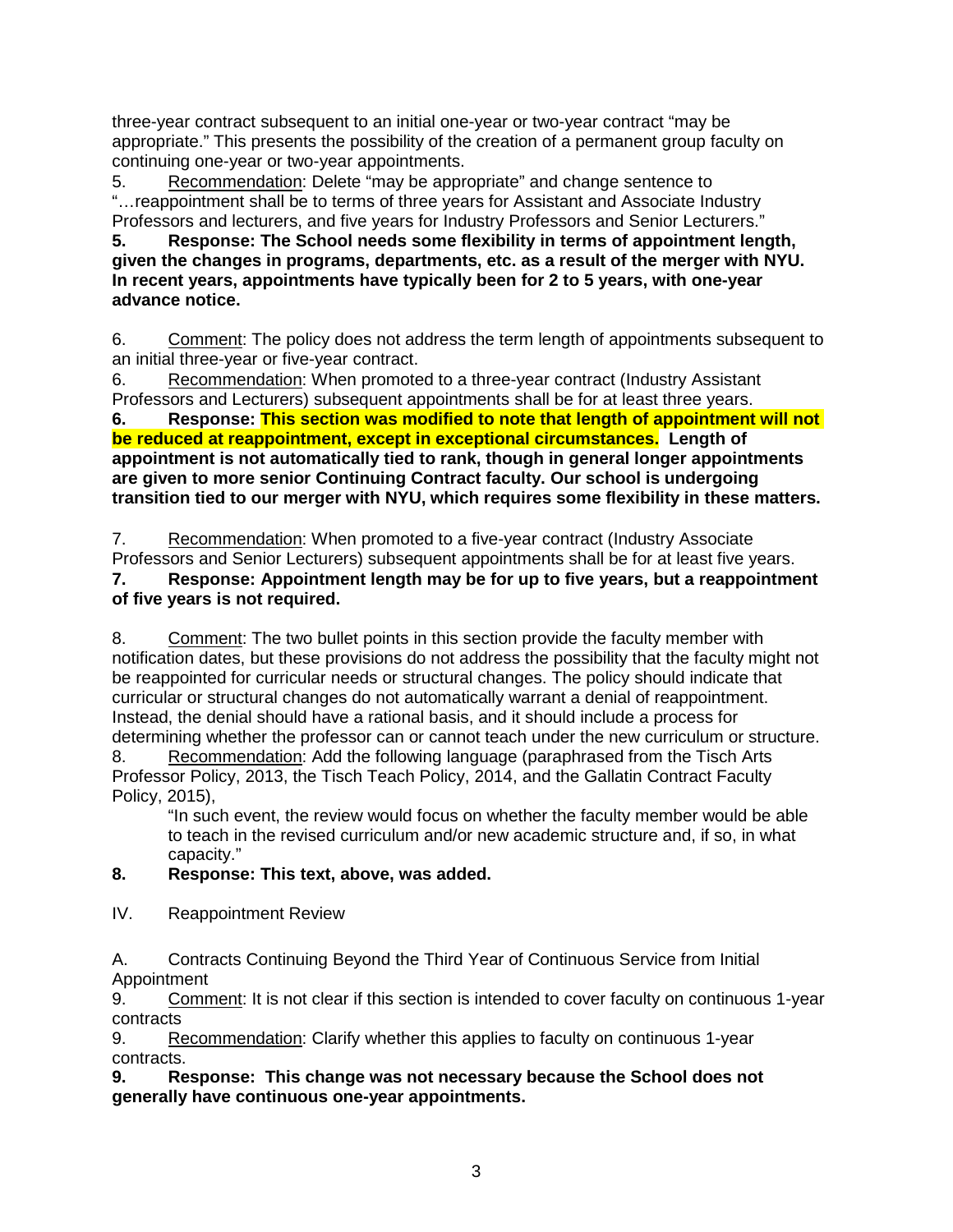three-year contract subsequent to an initial one-year or two-year contract "may be appropriate." This presents the possibility of the creation of a permanent group faculty on continuing one-year or two-year appointments.

5. Recommendation: Delete "may be appropriate" and change sentence to "…reappointment shall be to terms of three years for Assistant and Associate Industry Professors and lecturers, and five years for Industry Professors and Senior Lecturers."

**5. Response: The School needs some flexibility in terms of appointment length, given the changes in programs, departments, etc. as a result of the merger with NYU. In recent years, appointments have typically been for 2 to 5 years, with one-year advance notice.** 

6. Comment: The policy does not address the term length of appointments subsequent to an initial three-year or five-year contract.

6. Recommendation: When promoted to a three-year contract (Industry Assistant Professors and Lecturers) subsequent appointments shall be for at least three years.

**6. Response: This section was modified to note that length of appointment will not be reduced at reappointment, except in exceptional circumstances. Length of appointment is not automatically tied to rank, though in general longer appointments are given to more senior Continuing Contract faculty. Our school is undergoing transition tied to our merger with NYU, which requires some flexibility in these matters.** 

7. Recommendation: When promoted to a five-year contract (Industry Associate Professors and Senior Lecturers) subsequent appointments shall be for at least five years.

# **7. Response: Appointment length may be for up to five years, but a reappointment of five years is not required.**

8. Comment: The two bullet points in this section provide the faculty member with notification dates, but these provisions do not address the possibility that the faculty might not be reappointed for curricular needs or structural changes. The policy should indicate that curricular or structural changes do not automatically warrant a denial of reappointment. Instead, the denial should have a rational basis, and it should include a process for determining whether the professor can or cannot teach under the new curriculum or structure. 8. Recommendation: Add the following language (paraphrased from the Tisch Arts

Professor Policy, 2013, the Tisch Teach Policy, 2014, and the Gallatin Contract Faculty Policy, 2015),

"In such event, the review would focus on whether the faculty member would be able to teach in the revised curriculum and/or new academic structure and, if so, in what capacity."

# **8. Response: This text, above, was added.**

IV. Reappointment Review

A. Contracts Continuing Beyond the Third Year of Continuous Service from Initial Appointment

9. Comment: It is not clear if this section is intended to cover faculty on continuous 1-year contracts

9. Recommendation: Clarify whether this applies to faculty on continuous 1-year contracts.

# **9. Response: This change was not necessary because the School does not generally have continuous one-year appointments.**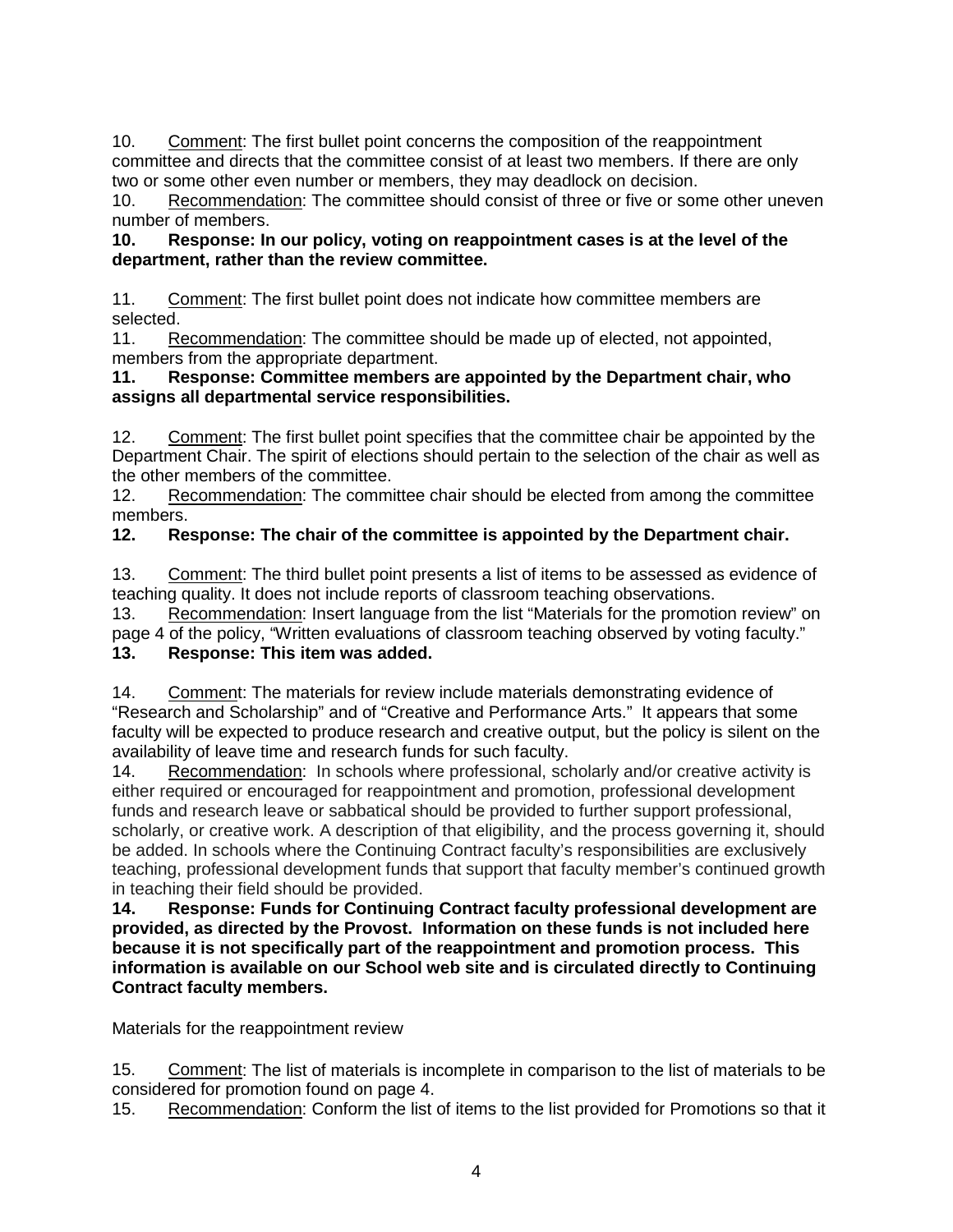10. Comment: The first bullet point concerns the composition of the reappointment committee and directs that the committee consist of at least two members. If there are only two or some other even number or members, they may deadlock on decision.

10. Recommendation: The committee should consist of three or five or some other uneven number of members.

# **10. Response: In our policy, voting on reappointment cases is at the level of the department, rather than the review committee.**

11. Comment: The first bullet point does not indicate how committee members are selected.

11. Recommendation: The committee should be made up of elected, not appointed, members from the appropriate department.

### **11. Response: Committee members are appointed by the Department chair, who assigns all departmental service responsibilities.**

12. Comment: The first bullet point specifies that the committee chair be appointed by the Department Chair. The spirit of elections should pertain to the selection of the chair as well as the other members of the committee.

12. Recommendation: The committee chair should be elected from among the committee members.

# **12. Response: The chair of the committee is appointed by the Department chair.**

13. Comment: The third bullet point presents a list of items to be assessed as evidence of teaching quality. It does not include reports of classroom teaching observations.

13. Recommendation: Insert language from the list "Materials for the promotion review" on page 4 of the policy, "Written evaluations of classroom teaching observed by voting faculty."

# **13. Response: This item was added.**

14. Comment: The materials for review include materials demonstrating evidence of "Research and Scholarship" and of "Creative and Performance Arts." It appears that some faculty will be expected to produce research and creative output, but the policy is silent on the availability of leave time and research funds for such faculty.

14. Recommendation: In schools where professional, scholarly and/or creative activity is either required or encouraged for reappointment and promotion, professional development funds and research leave or sabbatical should be provided to further support professional, scholarly, or creative work. A description of that eligibility, and the process governing it, should be added. In schools where the Continuing Contract faculty's responsibilities are exclusively teaching, professional development funds that support that faculty member's continued growth in teaching their field should be provided.

**14. Response: Funds for Continuing Contract faculty professional development are provided, as directed by the Provost. Information on these funds is not included here because it is not specifically part of the reappointment and promotion process. This information is available on our School web site and is circulated directly to Continuing Contract faculty members.**

Materials for the reappointment review

15. Comment: The list of materials is incomplete in comparison to the list of materials to be considered for promotion found on page 4.

15. Recommendation: Conform the list of items to the list provided for Promotions so that it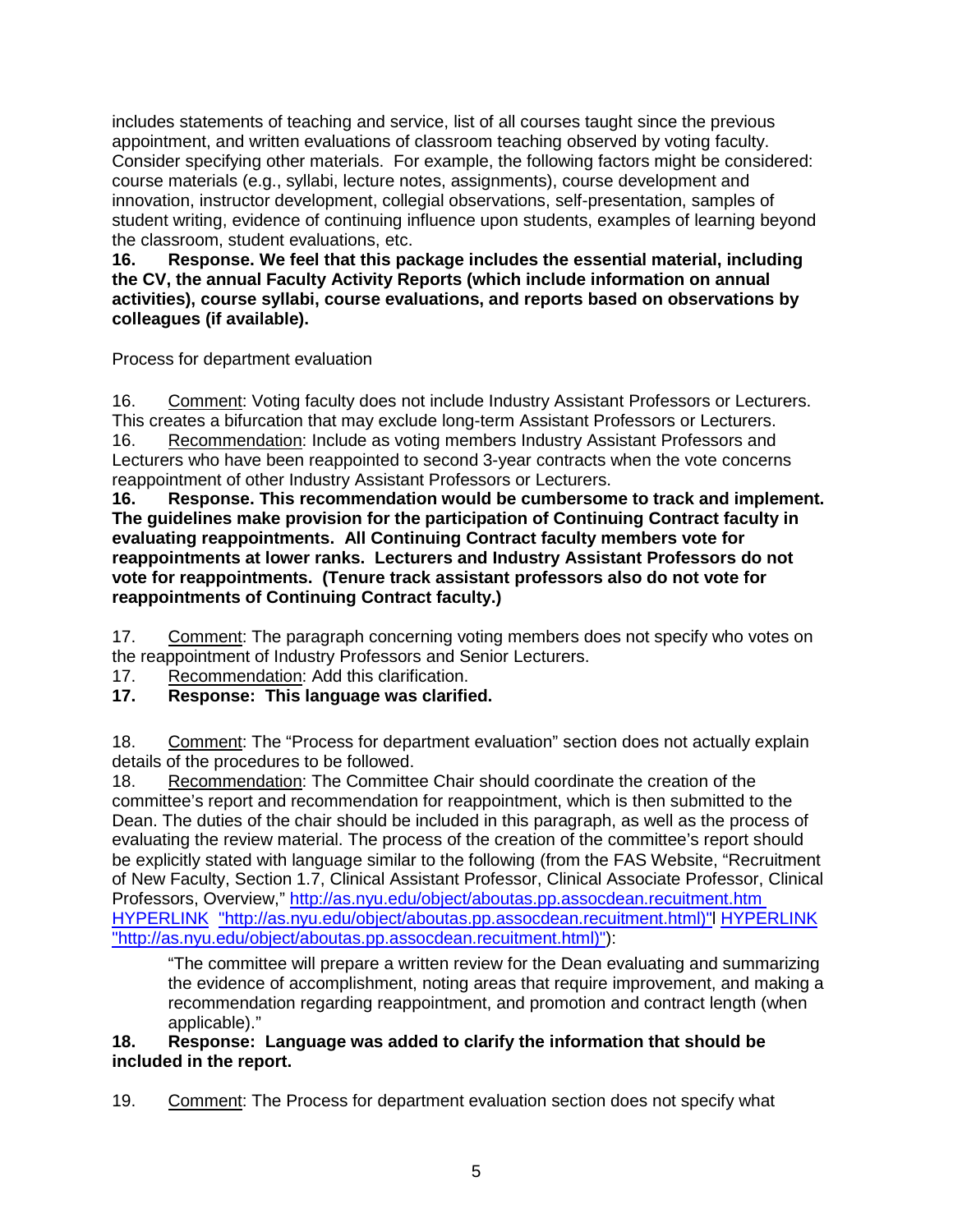includes statements of teaching and service, list of all courses taught since the previous appointment, and written evaluations of classroom teaching observed by voting faculty. Consider specifying other materials. For example, the following factors might be considered: course materials (e.g., syllabi, lecture notes, assignments), course development and innovation, instructor development, collegial observations, self-presentation, samples of student writing, evidence of continuing influence upon students, examples of learning beyond the classroom, student evaluations, etc.

**16. Response. We feel that this package includes the essential material, including the CV, the annual Faculty Activity Reports (which include information on annual activities), course syllabi, course evaluations, and reports based on observations by colleagues (if available).** 

Process for department evaluation

16. Comment: Voting faculty does not include Industry Assistant Professors or Lecturers. This creates a bifurcation that may exclude long-term Assistant Professors or Lecturers. 16. Recommendation: Include as voting members Industry Assistant Professors and Lecturers who have been reappointed to second 3-year contracts when the vote concerns reappointment of other Industry Assistant Professors or Lecturers.

**16. Response. This recommendation would be cumbersome to track and implement. The guidelines make provision for the participation of Continuing Contract faculty in evaluating reappointments. All Continuing Contract faculty members vote for reappointments at lower ranks. Lecturers and Industry Assistant Professors do not vote for reappointments. (Tenure track assistant professors also do not vote for reappointments of Continuing Contract faculty.)** 

17. Comment: The paragraph concerning voting members does not specify who votes on the reappointment of Industry Professors and Senior Lecturers.

- 17. Recommendation: Add this clarification.
- **17. Response: This language was clarified.**

18. Comment: The "Process for department evaluation" section does not actually explain details of the procedures to be followed.

18. Recommendation: The Committee Chair should coordinate the creation of the committee's report and recommendation for reappointment, which is then submitted to the Dean. The duties of the chair should be included in this paragraph, as well as the process of evaluating the review material. The process of the creation of the committee's report should be explicitly stated with language similar to the following (from the FAS Website, "Recruitment of New Faculty, Section 1.7, Clinical Assistant Professor, Clinical Associate Professor, Clinical Professors, Overview,"<http://as.nyu.edu/object/aboutas.pp.assocdean.recuitment.htm> HYPERLINK ["http://as.nyu.edu/object/aboutas.pp.assocdean.recuitment.html\)"l](http://as.nyu.edu/object/aboutas.pp.assocdean.recuitment.html)) HYPERLINK ["http://as.nyu.edu/object/aboutas.pp.assocdean.recuitment.html\)"\)](http://as.nyu.edu/object/aboutas.pp.assocdean.recuitment.html)):

"The committee will prepare a written review for the Dean evaluating and summarizing the evidence of accomplishment, noting areas that require improvement, and making a recommendation regarding reappointment, and promotion and contract length (when applicable)."

### **18. Response: Language was added to clarify the information that should be included in the report.**

19. Comment: The Process for department evaluation section does not specify what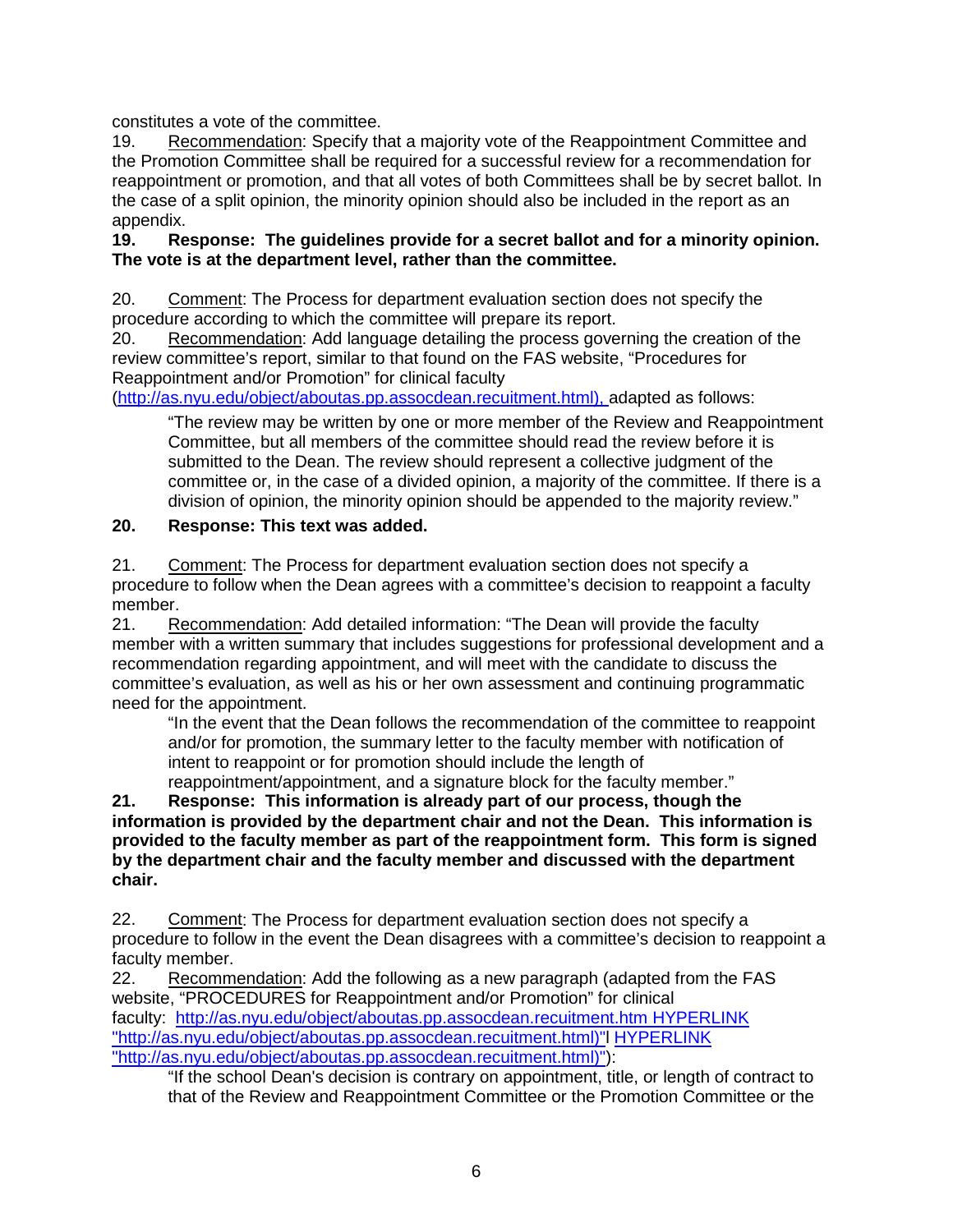constitutes a vote of the committee.

19. Recommendation: Specify that a majority vote of the Reappointment Committee and the Promotion Committee shall be required for a successful review for a recommendation for reappointment or promotion, and that all votes of both Committees shall be by secret ballot. In the case of a split opinion, the minority opinion should also be included in the report as an appendix.

### **19. Response: The guidelines provide for a secret ballot and for a minority opinion. The vote is at the department level, rather than the committee.**

20. Comment: The Process for department evaluation section does not specify the procedure according to which the committee will prepare its report.

20. Recommendation: Add language detailing the process governing the creation of the review committee's report, similar to that found on the FAS website, "Procedures for Reappointment and/or Promotion" for clinical faculty

[\(http://as.nyu.edu/object/aboutas.pp.assocdean.recuitment.html\), a](http://as.nyu.edu/object/aboutas.pp.assocdean.recuitment.html))dapted as follows:

"The review may be written by one or more member of the Review and Reappointment Committee, but all members of the committee should read the review before it is submitted to the Dean. The review should represent a collective judgment of the committee or, in the case of a divided opinion, a majority of the committee. If there is a division of opinion, the minority opinion should be appended to the majority review."

# **20. Response: This text was added.**

21. Comment: The Process for department evaluation section does not specify a procedure to follow when the Dean agrees with a committee's decision to reappoint a faculty member.

21. Recommendation: Add detailed information: "The Dean will provide the faculty member with a written summary that includes suggestions for professional development and a recommendation regarding appointment, and will meet with the candidate to discuss the committee's evaluation, as well as his or her own assessment and continuing programmatic need for the appointment.

"In the event that the Dean follows the recommendation of the committee to reappoint and/or for promotion, the summary letter to the faculty member with notification of intent to reappoint or for promotion should include the length of reappointment/appointment, and a signature block for the faculty member."

**21. Response: This information is already part of our process, though the information is provided by the department chair and not the Dean. This information is provided to the faculty member as part of the reappointment form. This form is signed by the department chair and the faculty member and discussed with the department chair.** 

22. Comment: The Process for department evaluation section does not specify a procedure to follow in the event the Dean disagrees with a committee's decision to reappoint a faculty member.

22. Recommendation: Add the following as a new paragraph (adapted from the FAS website, "PROCEDURES for Reappointment and/or Promotion" for clinical faculty: <http://as.nyu.edu/object/aboutas.pp.assocdean.recuitment.htm> HYPERLINK ["http://as.nyu.edu/object/aboutas.pp.assocdean.recuitment.html\)"l](http://as.nyu.edu/object/aboutas.pp.assocdean.recuitment.html)) HYPERLINK ["http://as.nyu.edu/object/aboutas.pp.assocdean.recuitment.html\)"\)](http://as.nyu.edu/object/aboutas.pp.assocdean.recuitment.html)):

"If the school Dean's decision is contrary on appointment, title, or length of contract to that of the Review and Reappointment Committee or the Promotion Committee or the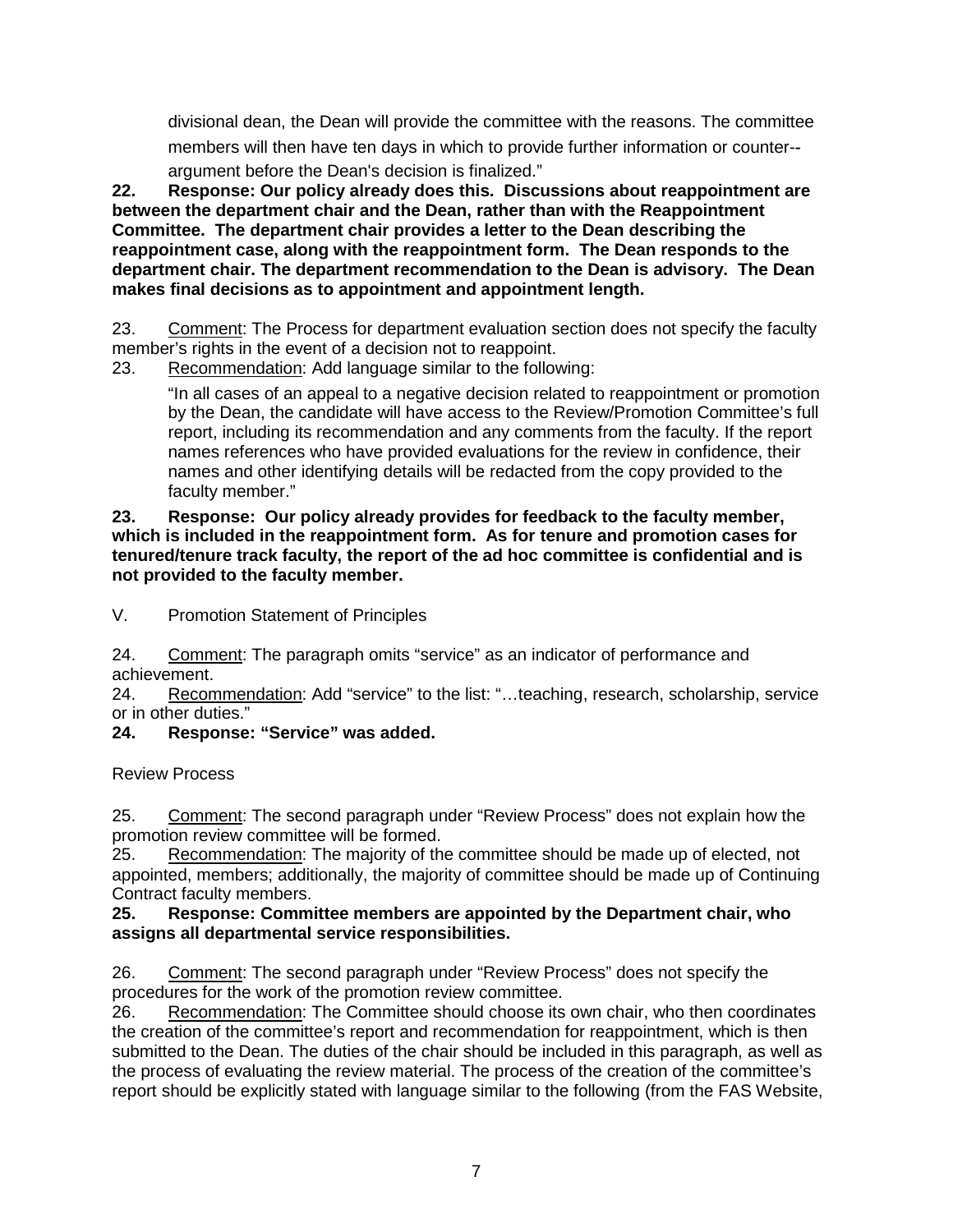divisional dean, the Dean will provide the committee with the reasons. The committee members will then have ten days in which to provide further information or counter-‐ argument before the Dean's decision is finalized."

**22. Response: Our policy already does this. Discussions about reappointment are between the department chair and the Dean, rather than with the Reappointment Committee. The department chair provides a letter to the Dean describing the reappointment case, along with the reappointment form. The Dean responds to the department chair. The department recommendation to the Dean is advisory. The Dean makes final decisions as to appointment and appointment length.**

23. Comment: The Process for department evaluation section does not specify the faculty member's rights in the event of a decision not to reappoint.

23. Recommendation: Add language similar to the following:

"In all cases of an appeal to a negative decision related to reappointment or promotion by the Dean, the candidate will have access to the Review/Promotion Committee's full report, including its recommendation and any comments from the faculty. If the report names references who have provided evaluations for the review in confidence, their names and other identifying details will be redacted from the copy provided to the faculty member."

#### **23. Response: Our policy already provides for feedback to the faculty member, which is included in the reappointment form. As for tenure and promotion cases for tenured/tenure track faculty, the report of the ad hoc committee is confidential and is not provided to the faculty member.**

V. Promotion Statement of Principles

24. Comment: The paragraph omits "service" as an indicator of performance and achievement.

24. Recommendation: Add "service" to the list: "…teaching, research, scholarship, service or in other duties."

# **24. Response: "Service" was added.**

Review Process

25. Comment: The second paragraph under "Review Process" does not explain how the promotion review committee will be formed.

25. Recommendation: The majority of the committee should be made up of elected, not appointed, members; additionally, the majority of committee should be made up of Continuing Contract faculty members.

### **25. Response: Committee members are appointed by the Department chair, who assigns all departmental service responsibilities.**

26. Comment: The second paragraph under "Review Process" does not specify the procedures for the work of the promotion review committee.

26. Recommendation: The Committee should choose its own chair, who then coordinates the creation of the committee's report and recommendation for reappointment, which is then submitted to the Dean. The duties of the chair should be included in this paragraph, as well as the process of evaluating the review material. The process of the creation of the committee's report should be explicitly stated with language similar to the following (from the FAS Website,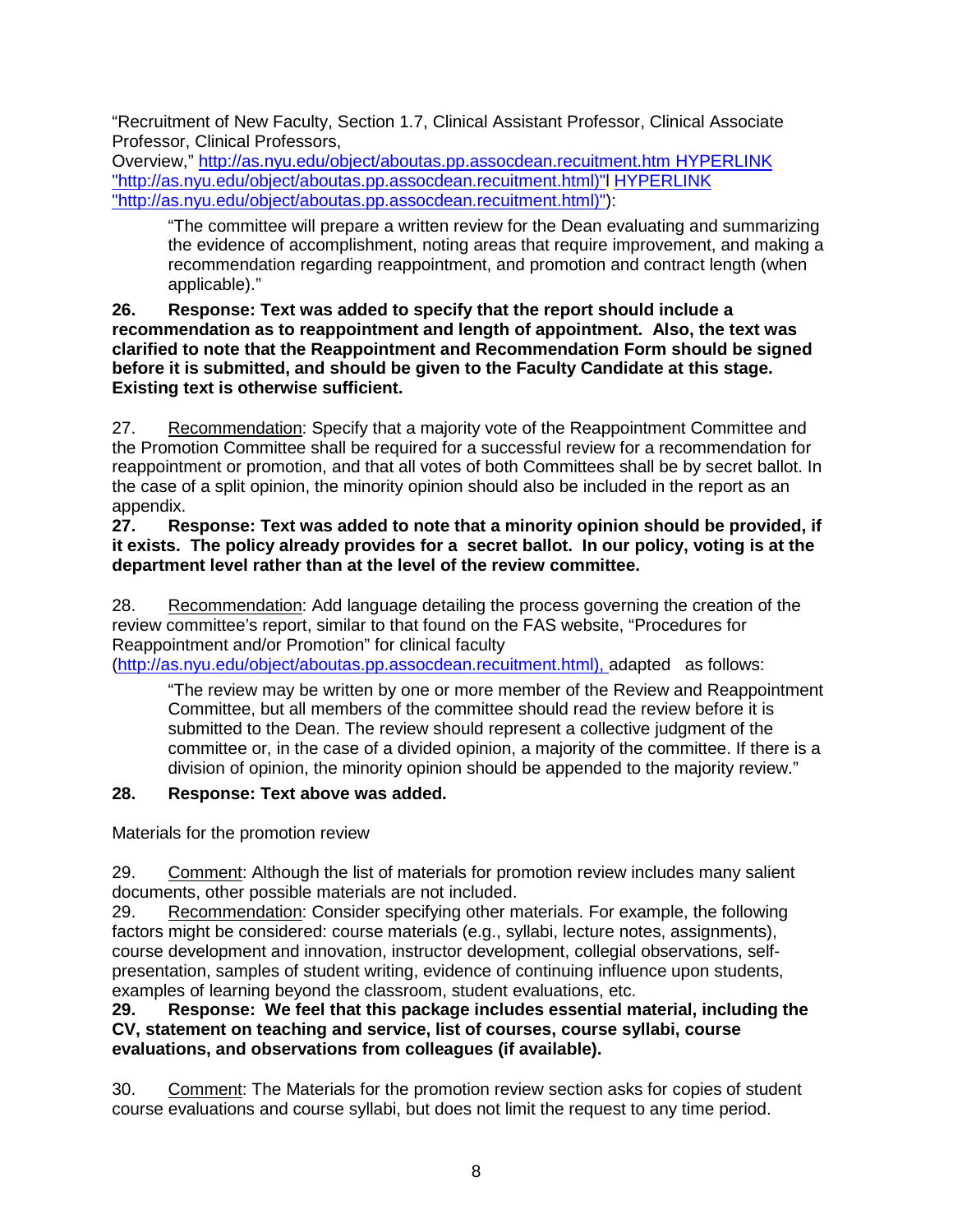"Recruitment of New Faculty, Section 1.7, Clinical Assistant Professor, Clinical Associate Professor, Clinical Professors,

Overview,"<http://as.nyu.edu/object/aboutas.pp.assocdean.recuitment.htm> HYPERLINK ["http://as.nyu.edu/object/aboutas.pp.assocdean.recuitment.html\)"l](http://as.nyu.edu/object/aboutas.pp.assocdean.recuitment.html)) HYPERLINK ["http://as.nyu.edu/object/aboutas.pp.assocdean.recuitment.html\)"\)](http://as.nyu.edu/object/aboutas.pp.assocdean.recuitment.html)):

"The committee will prepare a written review for the Dean evaluating and summarizing the evidence of accomplishment, noting areas that require improvement, and making a recommendation regarding reappointment, and promotion and contract length (when applicable)."

### **26. Response: Text was added to specify that the report should include a recommendation as to reappointment and length of appointment. Also, the text was clarified to note that the Reappointment and Recommendation Form should be signed before it is submitted, and should be given to the Faculty Candidate at this stage. Existing text is otherwise sufficient.**

27. Recommendation: Specify that a majority vote of the Reappointment Committee and the Promotion Committee shall be required for a successful review for a recommendation for reappointment or promotion, and that all votes of both Committees shall be by secret ballot. In the case of a split opinion, the minority opinion should also be included in the report as an appendix.

### **27. Response: Text was added to note that a minority opinion should be provided, if it exists. The policy already provides for a secret ballot. In our policy, voting is at the department level rather than at the level of the review committee.**

28. Recommendation: Add language detailing the process governing the creation of the review committee's report, similar to that found on the FAS website, "Procedures for Reappointment and/or Promotion" for clinical faculty

[\(http://as.nyu.edu/object/aboutas.pp.assocdean.recuitment.html\), a](http://as.nyu.edu/object/aboutas.pp.assocdean.recuitment.html))dapted as follows:

"The review may be written by one or more member of the Review and Reappointment Committee, but all members of the committee should read the review before it is submitted to the Dean. The review should represent a collective judgment of the committee or, in the case of a divided opinion, a majority of the committee. If there is a division of opinion, the minority opinion should be appended to the majority review."

# **28. Response: Text above was added.**

Materials for the promotion review

29. Comment: Although the list of materials for promotion review includes many salient documents, other possible materials are not included.

29. Recommendation: Consider specifying other materials. For example, the following factors might be considered: course materials (e.g., syllabi, lecture notes, assignments), course development and innovation, instructor development, collegial observations, selfpresentation, samples of student writing, evidence of continuing influence upon students, examples of learning beyond the classroom, student evaluations, etc.

**29. Response: We feel that this package includes essential material, including the CV, statement on teaching and service, list of courses, course syllabi, course evaluations, and observations from colleagues (if available).**

30. Comment: The Materials for the promotion review section asks for copies of student course evaluations and course syllabi, but does not limit the request to any time period.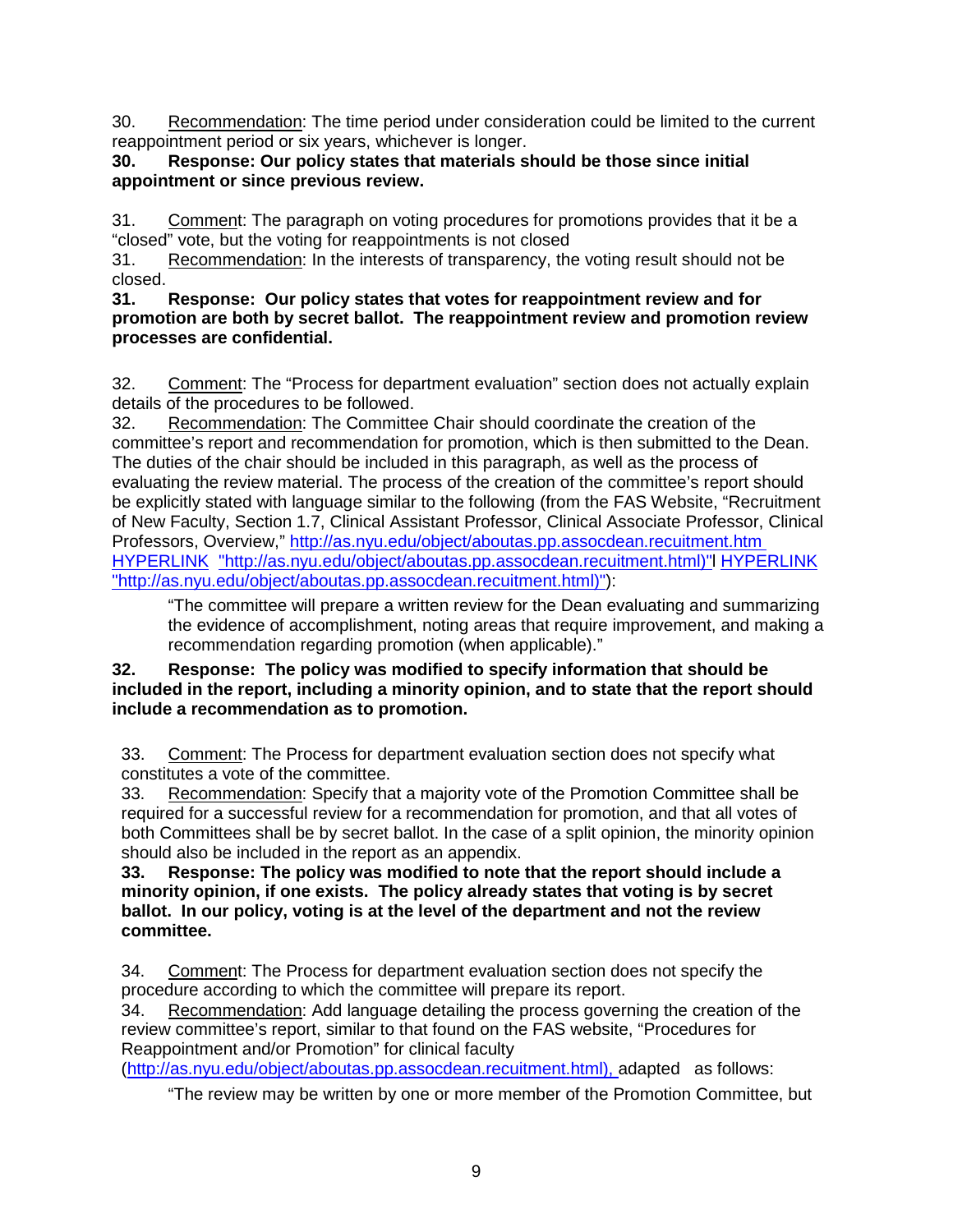30. Recommendation: The time period under consideration could be limited to the current reappointment period or six years, whichever is longer.

### **30. Response: Our policy states that materials should be those since initial appointment or since previous review.**

31. Comment: The paragraph on voting procedures for promotions provides that it be a "closed" vote, but the voting for reappointments is not closed

31. Recommendation: In the interests of transparency, the voting result should not be closed.<br>31.

#### **31. Response: Our policy states that votes for reappointment review and for promotion are both by secret ballot. The reappointment review and promotion review processes are confidential.**

32. Comment: The "Process for department evaluation" section does not actually explain details of the procedures to be followed.

32. Recommendation: The Committee Chair should coordinate the creation of the committee's report and recommendation for promotion, which is then submitted to the Dean. The duties of the chair should be included in this paragraph, as well as the process of evaluating the review material. The process of the creation of the committee's report should be explicitly stated with language similar to the following (from the FAS Website, "Recruitment of New Faculty, Section 1.7, Clinical Assistant Professor, Clinical Associate Professor, Clinical Professors, Overview,"<http://as.nyu.edu/object/aboutas.pp.assocdean.recuitment.htm> HYPERLINK ["http://as.nyu.edu/object/aboutas.pp.assocdean.recuitment.html\)"l](http://as.nyu.edu/object/aboutas.pp.assocdean.recuitment.html)) HYPERLINK ["http://as.nyu.edu/object/aboutas.pp.assocdean.recuitment.html\)"\)](http://as.nyu.edu/object/aboutas.pp.assocdean.recuitment.html)):

"The committee will prepare a written review for the Dean evaluating and summarizing the evidence of accomplishment, noting areas that require improvement, and making a recommendation regarding promotion (when applicable)."

# **32. Response: The policy was modified to specify information that should be included in the report, including a minority opinion, and to state that the report should include a recommendation as to promotion.**

33. Comment: The Process for department evaluation section does not specify what constitutes a vote of the committee.

33. Recommendation: Specify that a majority vote of the Promotion Committee shall be required for a successful review for a recommendation for promotion, and that all votes of both Committees shall be by secret ballot. In the case of a split opinion, the minority opinion should also be included in the report as an appendix.

**33. Response: The policy was modified to note that the report should include a minority opinion, if one exists. The policy already states that voting is by secret ballot. In our policy, voting is at the level of the department and not the review committee.**

34. Comment: The Process for department evaluation section does not specify the procedure according to which the committee will prepare its report.

34. Recommendation: Add language detailing the process governing the creation of the review committee's report, similar to that found on the FAS website, "Procedures for Reappointment and/or Promotion" for clinical faculty

[\(http://as.nyu.edu/object/aboutas.pp.assocdean.recuitment.html\), a](http://as.nyu.edu/object/aboutas.pp.assocdean.recuitment.html))dapted as follows:

"The review may be written by one or more member of the Promotion Committee, but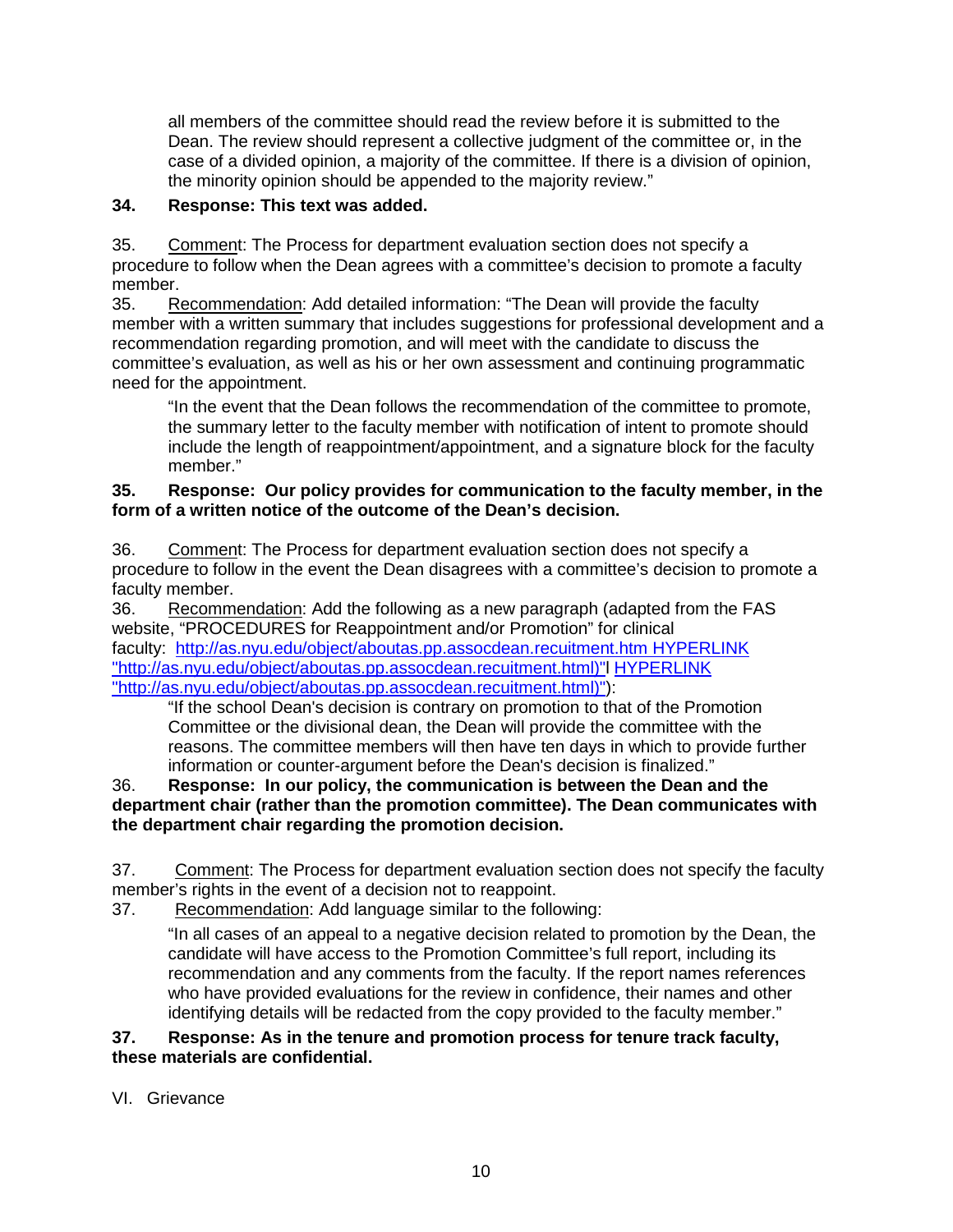all members of the committee should read the review before it is submitted to the Dean. The review should represent a collective judgment of the committee or, in the case of a divided opinion, a majority of the committee. If there is a division of opinion, the minority opinion should be appended to the majority review."

# **34. Response: This text was added.**

35. Comment: The Process for department evaluation section does not specify a procedure to follow when the Dean agrees with a committee's decision to promote a faculty member.

35. Recommendation: Add detailed information: "The Dean will provide the faculty member with a written summary that includes suggestions for professional development and a recommendation regarding promotion, and will meet with the candidate to discuss the committee's evaluation, as well as his or her own assessment and continuing programmatic need for the appointment.

"In the event that the Dean follows the recommendation of the committee to promote, the summary letter to the faculty member with notification of intent to promote should include the length of reappointment/appointment, and a signature block for the faculty member."

### **35. Response: Our policy provides for communication to the faculty member, in the form of a written notice of the outcome of the Dean's decision.**

36. Comment: The Process for department evaluation section does not specify a procedure to follow in the event the Dean disagrees with a committee's decision to promote a faculty member.

36. Recommendation: Add the following as a new paragraph (adapted from the FAS website, "PROCEDURES for Reappointment and/or Promotion" for clinical faculty: <http://as.nyu.edu/object/aboutas.pp.assocdean.recuitment.htm> HYPERLINK ["http://as.nyu.edu/object/aboutas.pp.assocdean.recuitment.html\)"l](http://as.nyu.edu/object/aboutas.pp.assocdean.recuitment.html)) HYPERLINK ["http://as.nyu.edu/object/aboutas.pp.assocdean.recuitment.html\)"\)](http://as.nyu.edu/object/aboutas.pp.assocdean.recuitment.html)):

"If the school Dean's decision is contrary on promotion to that of the Promotion Committee or the divisional dean, the Dean will provide the committee with the reasons. The committee members will then have ten days in which to provide further information or counter-argument before the Dean's decision is finalized."

# 36. **Response: In our policy, the communication is between the Dean and the department chair (rather than the promotion committee). The Dean communicates with the department chair regarding the promotion decision.**

37. Comment: The Process for department evaluation section does not specify the faculty member's rights in the event of a decision not to reappoint.

37. Recommendation: Add language similar to the following:

"In all cases of an appeal to a negative decision related to promotion by the Dean, the candidate will have access to the Promotion Committee's full report, including its recommendation and any comments from the faculty. If the report names references who have provided evaluations for the review in confidence, their names and other identifying details will be redacted from the copy provided to the faculty member."

### **37. Response: As in the tenure and promotion process for tenure track faculty, these materials are confidential.**

VI. Grievance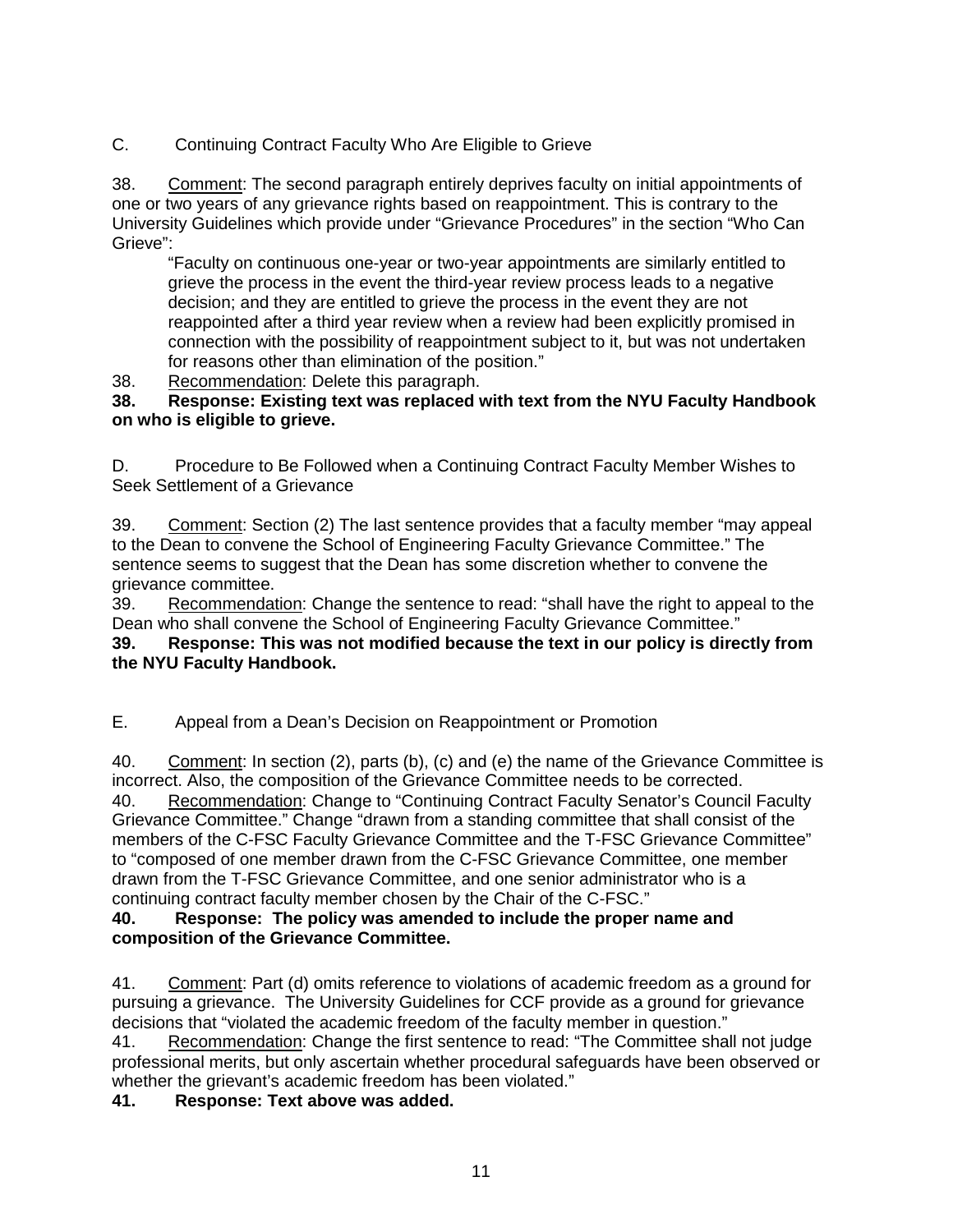C. Continuing Contract Faculty Who Are Eligible to Grieve

38. Comment: The second paragraph entirely deprives faculty on initial appointments of one or two years of any grievance rights based on reappointment. This is contrary to the University Guidelines which provide under "Grievance Procedures" in the section "Who Can Grieve":

"Faculty on continuous one-year or two-year appointments are similarly entitled to grieve the process in the event the third-year review process leads to a negative decision; and they are entitled to grieve the process in the event they are not reappointed after a third year review when a review had been explicitly promised in connection with the possibility of reappointment subject to it, but was not undertaken for reasons other than elimination of the position."

38. Recommendation: Delete this paragraph.

**38. Response: Existing text was replaced with text from the NYU Faculty Handbook on who is eligible to grieve.**

D. Procedure to Be Followed when a Continuing Contract Faculty Member Wishes to Seek Settlement of a Grievance

39. Comment: Section (2) The last sentence provides that a faculty member "may appeal to the Dean to convene the School of Engineering Faculty Grievance Committee." The sentence seems to suggest that the Dean has some discretion whether to convene the grievance committee.

39. Recommendation: Change the sentence to read: "shall have the right to appeal to the Dean who shall convene the School of Engineering Faculty Grievance Committee."

**39. Response: This was not modified because the text in our policy is directly from the NYU Faculty Handbook.** 

E. Appeal from a Dean's Decision on Reappointment or Promotion

40. Comment: In section (2), parts (b), (c) and (e) the name of the Grievance Committee is incorrect. Also, the composition of the Grievance Committee needs to be corrected. 40. Recommendation: Change to "Continuing Contract Faculty Senator's Council Faculty Grievance Committee." Change "drawn from a standing committee that shall consist of the members of the C-FSC Faculty Grievance Committee and the T-FSC Grievance Committee" to "composed of one member drawn from the C-FSC Grievance Committee, one member drawn from the T-FSC Grievance Committee, and one senior administrator who is a continuing contract faculty member chosen by the Chair of the C-FSC."

### **40. Response: The policy was amended to include the proper name and composition of the Grievance Committee.**

41. Comment: Part (d) omits reference to violations of academic freedom as a ground for pursuing a grievance. The University Guidelines for CCF provide as a ground for grievance decisions that "violated the academic freedom of the faculty member in question."

41. Recommendation: Change the first sentence to read: "The Committee shall not judge professional merits, but only ascertain whether procedural safeguards have been observed or whether the grievant's academic freedom has been violated."

**41. Response: Text above was added.**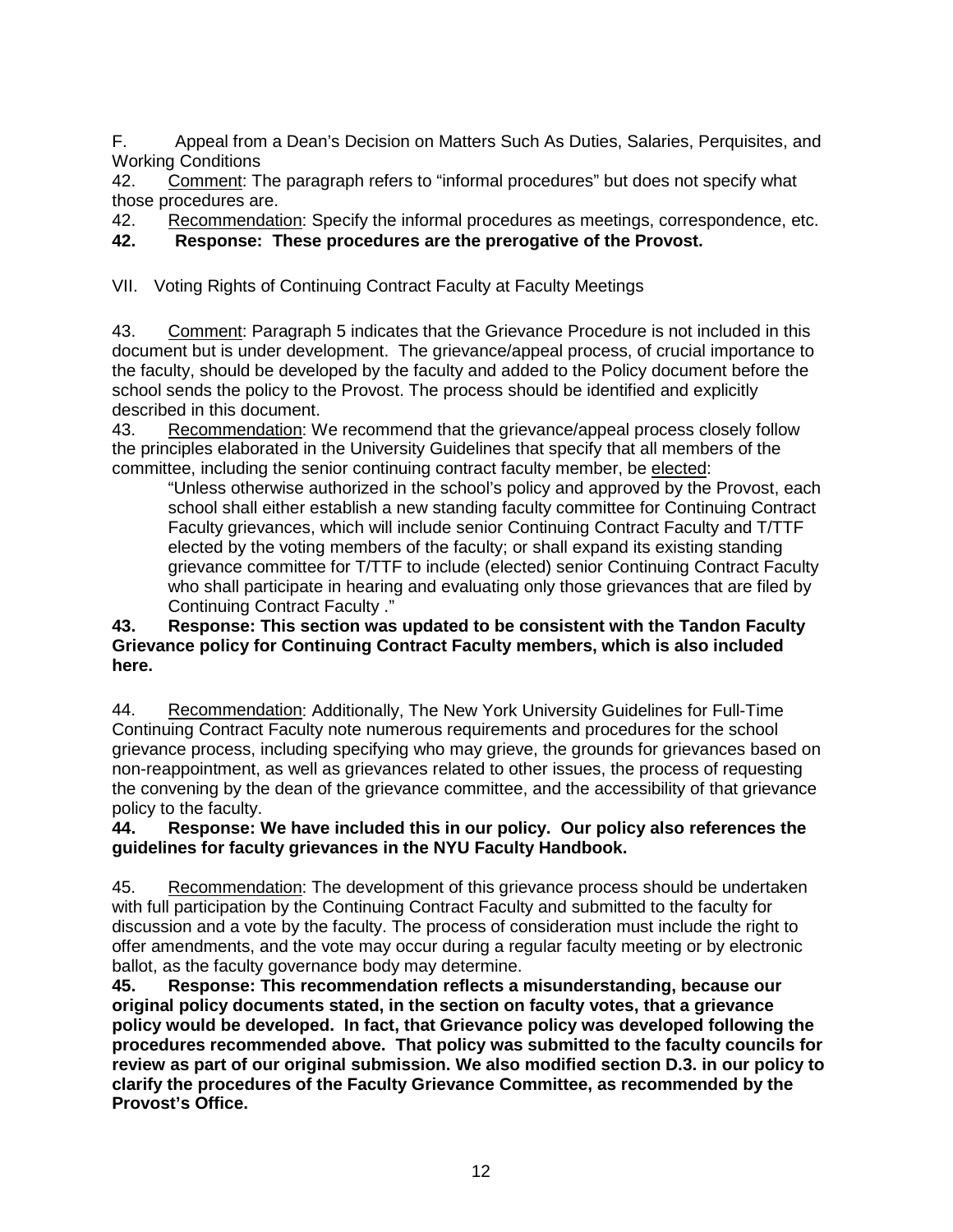F. Appeal from a Dean's Decision on Matters Such As Duties, Salaries, Perquisites, and Working Conditions

42. Comment: The paragraph refers to "informal procedures" but does not specify what those procedures are.

42. Recommendation: Specify the informal procedures as meetings, correspondence, etc.

**42. Response: These procedures are the prerogative of the Provost.**

VII. Voting Rights of Continuing Contract Faculty at Faculty Meetings

43. Comment: Paragraph 5 indicates that the Grievance Procedure is not included in this document but is under development. The grievance/appeal process, of crucial importance to the faculty, should be developed by the faculty and added to the Policy document before the school sends the policy to the Provost. The process should be identified and explicitly described in this document.

43. Recommendation: We recommend that the grievance/appeal process closely follow the principles elaborated in the University Guidelines that specify that all members of the committee, including the senior continuing contract faculty member, be elected:

"Unless otherwise authorized in the school's policy and approved by the Provost, each school shall either establish a new standing faculty committee for Continuing Contract Faculty grievances, which will include senior Continuing Contract Faculty and T/TTF elected by the voting members of the faculty; or shall expand its existing standing grievance committee for T/TTF to include (elected) senior Continuing Contract Faculty who shall participate in hearing and evaluating only those grievances that are filed by Continuing Contract Faculty ."

### **43. Response: This section was updated to be consistent with the Tandon Faculty Grievance policy for Continuing Contract Faculty members, which is also included here.**

44. Recommendation: Additionally, The New York University Guidelines for Full-Time Continuing Contract Faculty note numerous requirements and procedures for the school grievance process, including specifying who may grieve, the grounds for grievances based on non-reappointment, as well as grievances related to other issues, the process of requesting the convening by the dean of the grievance committee, and the accessibility of that grievance policy to the faculty.

### **44. Response: We have included this in our policy. Our policy also references the guidelines for faculty grievances in the NYU Faculty Handbook.**

45. Recommendation: The development of this grievance process should be undertaken with full participation by the Continuing Contract Faculty and submitted to the faculty for discussion and a vote by the faculty. The process of consideration must include the right to offer amendments, and the vote may occur during a regular faculty meeting or by electronic ballot, as the faculty governance body may determine.

**45. Response: This recommendation reflects a misunderstanding, because our original policy documents stated, in the section on faculty votes, that a grievance policy would be developed. In fact, that Grievance policy was developed following the procedures recommended above. That policy was submitted to the faculty councils for review as part of our original submission. We also modified section D.3. in our policy to clarify the procedures of the Faculty Grievance Committee, as recommended by the Provost's Office.**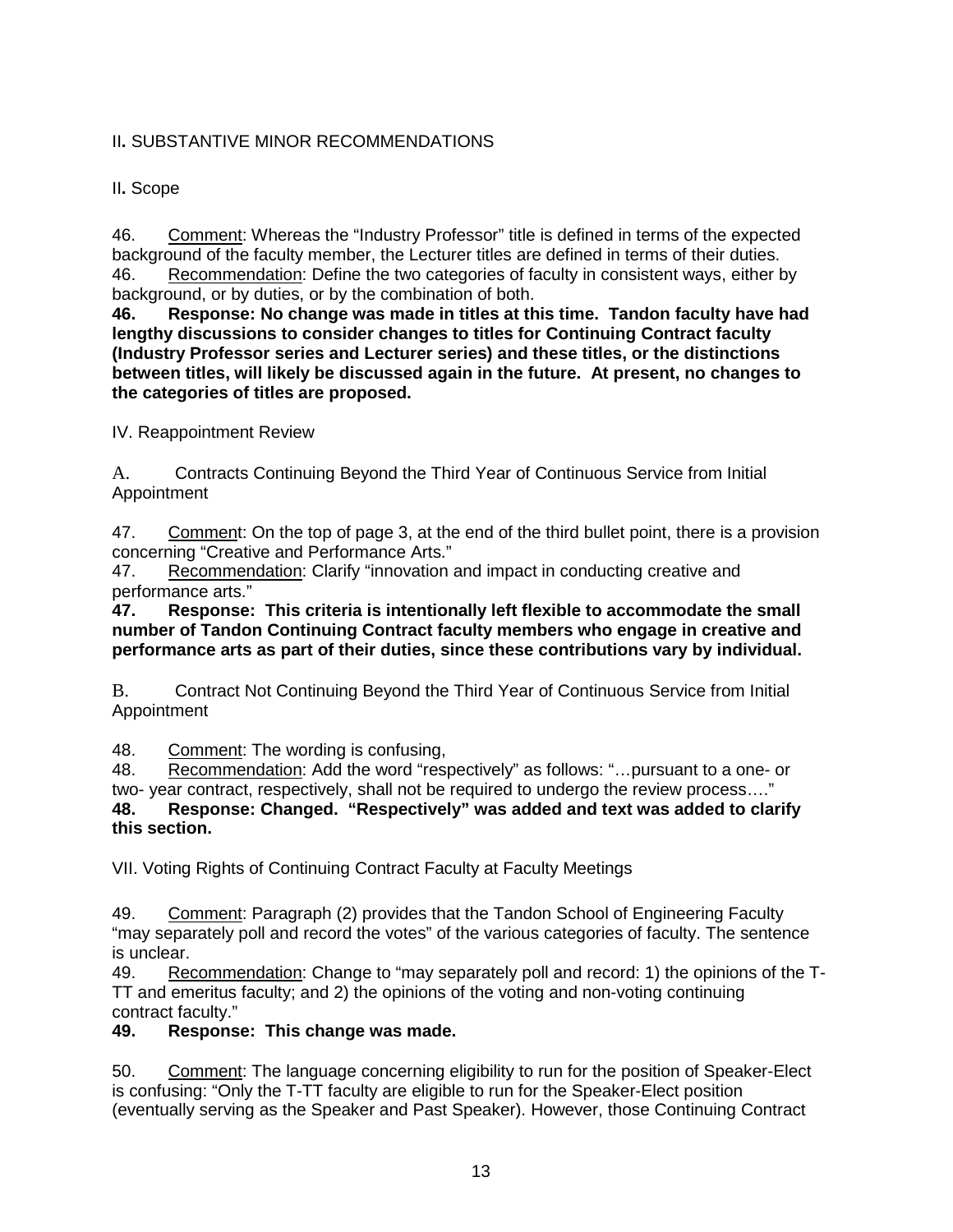# II**.** SUBSTANTIVE MINOR RECOMMENDATIONS

II**.** Scope

46. Comment: Whereas the "Industry Professor" title is defined in terms of the expected background of the faculty member, the Lecturer titles are defined in terms of their duties. 46. Recommendation: Define the two categories of faculty in consistent ways, either by background, or by duties, or by the combination of both.

**46. Response: No change was made in titles at this time. Tandon faculty have had lengthy discussions to consider changes to titles for Continuing Contract faculty (Industry Professor series and Lecturer series) and these titles, or the distinctions between titles, will likely be discussed again in the future. At present, no changes to the categories of titles are proposed.**

IV. Reappointment Review

A. Contracts Continuing Beyond the Third Year of Continuous Service from Initial Appointment

47. Comment: On the top of page 3, at the end of the third bullet point, there is a provision concerning "Creative and Performance Arts."

47. Recommendation: Clarify "innovation and impact in conducting creative and performance arts."<br>47. Response:

**47. Response: This criteria is intentionally left flexible to accommodate the small number of Tandon Continuing Contract faculty members who engage in creative and performance arts as part of their duties, since these contributions vary by individual.**

B. Contract Not Continuing Beyond the Third Year of Continuous Service from Initial Appointment

48. Comment: The wording is confusing,

48. Recommendation: Add the word "respectively" as follows: "…pursuant to a one- or two- year contract, respectively, shall not be required to undergo the review process…." **48. Response: Changed. "Respectively" was added and text was added to clarify this section.**

VII. Voting Rights of Continuing Contract Faculty at Faculty Meetings

49. Comment: Paragraph (2) provides that the Tandon School of Engineering Faculty "may separately poll and record the votes" of the various categories of faculty. The sentence is unclear.

49. Recommendation: Change to "may separately poll and record: 1) the opinions of the T-TT and emeritus faculty; and 2) the opinions of the voting and non-voting continuing contract faculty."

# **49. Response: This change was made.**

50. Comment: The language concerning eligibility to run for the position of Speaker-Elect is confusing: "Only the T-TT faculty are eligible to run for the Speaker-Elect position (eventually serving as the Speaker and Past Speaker). However, those Continuing Contract